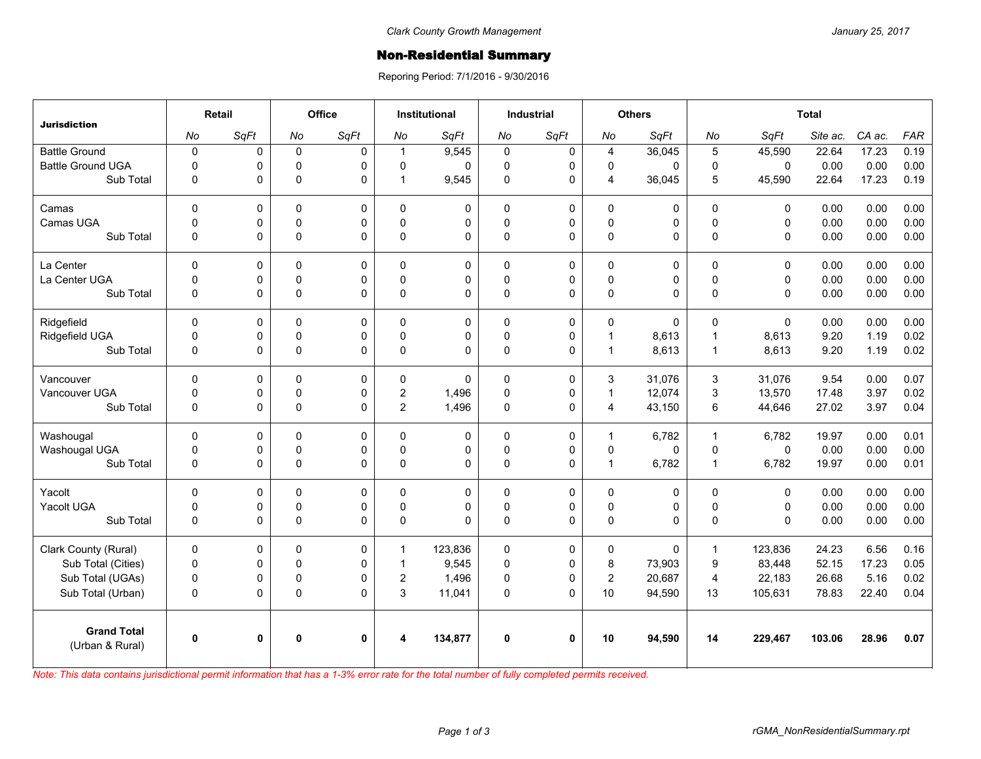## Non-Residential Summary

Reporing Period: 7/1/2016 - 9/30/2016

| <b>Jurisdiction</b>                   | Retail       |              | Office       |              | <b>Institutional</b> |          | <b>Industrial</b> |              | <b>Others</b>           |             | <b>Total</b>     |              |          |        |            |
|---------------------------------------|--------------|--------------|--------------|--------------|----------------------|----------|-------------------|--------------|-------------------------|-------------|------------------|--------------|----------|--------|------------|
|                                       | No           | SqFt         | No           | SqFt         | No                   | SqFt     | No                | SqFt         | No                      | SqFt        | No               | SqFt         | Site ac. | CA ac. | <b>FAR</b> |
| <b>Battle Ground</b>                  | $\pmb{0}$    | 0            | $\mathbf 0$  | 0            | 1                    | 9,545    | $\mathbf 0$       | 0            | $\overline{4}$          | 36,045      | $\overline{5}$   | 45,590       | 22.64    | 17.23  | 0.19       |
| <b>Battle Ground UGA</b>              | $\mathbf 0$  | 0            | $\mathbf 0$  | $\Omega$     | $\Omega$             | $\Omega$ | $\mathbf 0$       | $\mathbf 0$  | $\mathbf 0$             | 0           | $\mathbf 0$      | $\mathbf{0}$ | 0.00     | 0.00   | 0.00       |
| Sub Total                             | 0            | 0            | $\mathbf 0$  | $\Omega$     | 1                    | 9,545    | $\pmb{0}$         | 0            | $\overline{4}$          | 36,045      | 5                | 45,590       | 22.64    | 17.23  | 0.19       |
| Camas                                 | $\Omega$     | 0            | $\Omega$     | $\Omega$     | $\Omega$             | $\Omega$ | $\Omega$          | $\mathbf 0$  | $\Omega$                | 0           | $\Omega$         | $\mathbf{0}$ | 0.00     | 0.00   | 0.00       |
| Camas UGA                             | 0            | 0            | $\mathsf 0$  | 0            | $\mathbf 0$          | 0        | $\pmb{0}$         | 0            | $\mathbf 0$             | 0           | $\mathbf 0$      | $\mathbf 0$  | 0.00     | 0.00   | 0.00       |
| Sub Total                             | 0            | 0            | $\pmb{0}$    | $\Omega$     | $\Omega$             | $\Omega$ | $\Omega$          | $\Omega$     | $\pmb{0}$               | 0           | $\mathbf 0$      | $\mathbf{0}$ | 0.00     | 0.00   | 0.00       |
| La Center                             | $\mathbf 0$  | 0            | $\mathbf 0$  | 0            | 0                    | 0        | $\mathbf 0$       | 0            | $\pmb{0}$               | 0           | $\mathbf 0$      | $\mathbf 0$  | 0.00     | 0.00   | 0.00       |
| La Center UGA                         | 0            | 0            | $\mathbf 0$  | 0            | $\Omega$             | 0        | $\mathbf 0$       | $\mathbf 0$  | $\mathbf 0$             | 0           | $\pmb{0}$        | $\mathbf 0$  | 0.00     | 0.00   | 0.00       |
| Sub Total                             | $\mathbf 0$  | 0            | $\pmb{0}$    | $\Omega$     | $\Omega$             | 0        | $\pmb{0}$         | 0            | $\mathbf 0$             | 0           | $\mathbf 0$      | $\mathbf{0}$ | 0.00     | 0.00   | 0.00       |
| Ridgefield                            | $\Omega$     | 0            | 0            | $\Omega$     | 0                    | 0        | $\Omega$          | $\mathbf 0$  | 0                       | 0           | 0                | $\mathbf{0}$ | 0.00     | 0.00   | 0.00       |
| Ridgefield UGA                        | 0            | 0            | 0            | 0            | $\mathbf 0$          | 0        | $\mathsf 0$       | $\mathsf 0$  | $\mathbf{1}$            | 8,613       | $\overline{1}$   | 8,613        | 9.20     | 1.19   | 0.02       |
| Sub Total                             | $\mathbf 0$  | 0            | $\pmb{0}$    | $\Omega$     | $\Omega$             | 0        | $\pmb{0}$         | $\Omega$     | $\mathbf{1}$            | 8,613       | $\mathbf{1}$     | 8,613        | 9.20     | 1.19   | 0.02       |
| Vancouver                             | $\mathbf 0$  | 0            | $\Omega$     | $\Omega$     | $\mathbf{0}$         | $\Omega$ | $\Omega$          | $\Omega$     | 3                       | 31.076      | 3                | 31,076       | 9.54     | 0.00   | 0.07       |
| Vancouver UGA                         | 0            | 0            | 0            | 0            | $\overline{2}$       | 1,496    | $\mathbf 0$       | $\pmb{0}$    | $\mathbf{1}$            | 12,074      | 3                | 13,570       | 17.48    | 3.97   | 0.02       |
| Sub Total                             | 0            | 0            | $\pmb{0}$    | $\Omega$     | $\overline{2}$       | 1,496    | $\pmb{0}$         | $\mathbf 0$  | $\overline{\mathbf{4}}$ | 43,150      | 6                | 44,646       | 27.02    | 3.97   | 0.04       |
| Washougal                             | $\mathbf 0$  | 0            | 0            | 0            | $\Omega$             | 0        | 0                 | 0            | 1                       | 6,782       | $\mathbf{1}$     | 6,782        | 19.97    | 0.00   | 0.01       |
| Washougal UGA                         | 0            | 0            | $\mathbf 0$  | $\Omega$     | $\mathbf{0}$         | 0        | $\mathbf 0$       | 0            | $\mathbf 0$             | $\mathbf 0$ | $\mathbf 0$      | $\mathbf{0}$ | 0.00     | 0.00   | 0.00       |
| Sub Total                             | 0            | 0            | $\pmb{0}$    | $\Omega$     | 0                    | $\Omega$ | $\pmb{0}$         | 0            | $\mathbf{1}$            | 6,782       | $\mathbf{1}$     | 6,782        | 19.97    | 0.00   | 0.01       |
| Yacolt                                | $\Omega$     | 0            | $\mathbf 0$  | $\Omega$     | $\Omega$             | 0        | 0                 | 0            | $\mathbf 0$             | 0           | $\mathbf 0$      | $\mathbf{0}$ | 0.00     | 0.00   | 0.00       |
| Yacolt UGA                            | 0            | 0            | 0            | 0            | 0                    | 0        | 0                 | 0            | $\mathsf 0$             | 0           | $\pmb{0}$        | $\mathsf 0$  | 0.00     | 0.00   | 0.00       |
| Sub Total                             | $\mathbf 0$  | 0            | $\Omega$     | $\Omega$     | $\Omega$             | $\Omega$ | $\Omega$          | $\Omega$     | $\pmb{0}$               | 0           | $\mathbf{0}$     | $\Omega$     | 0.00     | 0.00   | 0.00       |
| Clark County (Rural)                  | $\mathbf 0$  | 0            | $\mathbf 0$  | 0            | $\mathbf 1$          | 123,836  | $\mathbf 0$       | $\pmb{0}$    | $\mathbf 0$             | 0           | $\mathbf{1}$     | 123,836      | 24.23    | 6.56   | 0.16       |
| Sub Total (Cities)                    | $\mathbf 0$  | 0            | $\mathbf 0$  | $\Omega$     | 1                    | 9,545    | $\pmb{0}$         | 0            | 8                       | 73,903      | $\boldsymbol{9}$ | 83,448       | 52.15    | 17.23  | 0.05       |
| Sub Total (UGAs)                      | $\pmb{0}$    | 0            | 0            | 0            | $\overline{2}$       | 1,496    | 0                 | 0            | $\overline{c}$          | 20,687      | $\overline{4}$   | 22,183       | 26.68    | 5.16   | 0.02       |
| Sub Total (Urban)                     | 0            | 0            | $\pmb{0}$    | $\Omega$     | 3                    | 11,041   | $\pmb{0}$         | $\Omega$     | 10                      | 94,590      | 13               | 105,631      | 78.83    | 22.40  | 0.04       |
| <b>Grand Total</b><br>(Urban & Rural) | $\mathbf{0}$ | $\mathbf{0}$ | $\mathbf{0}$ | $\mathbf{0}$ |                      | 134,877  | $\mathbf{0}$      | $\mathbf{0}$ | 10                      | 94,590      | 14               | 229,467      | 103.06   | 28.96  | 0.07       |
|                                       |              |              |              |              |                      |          |                   |              |                         |             |                  |              |          |        |            |

*Note: This data contains jurisdictional permit information that has a 1-3% error rate for the total number of fully completed permits received.*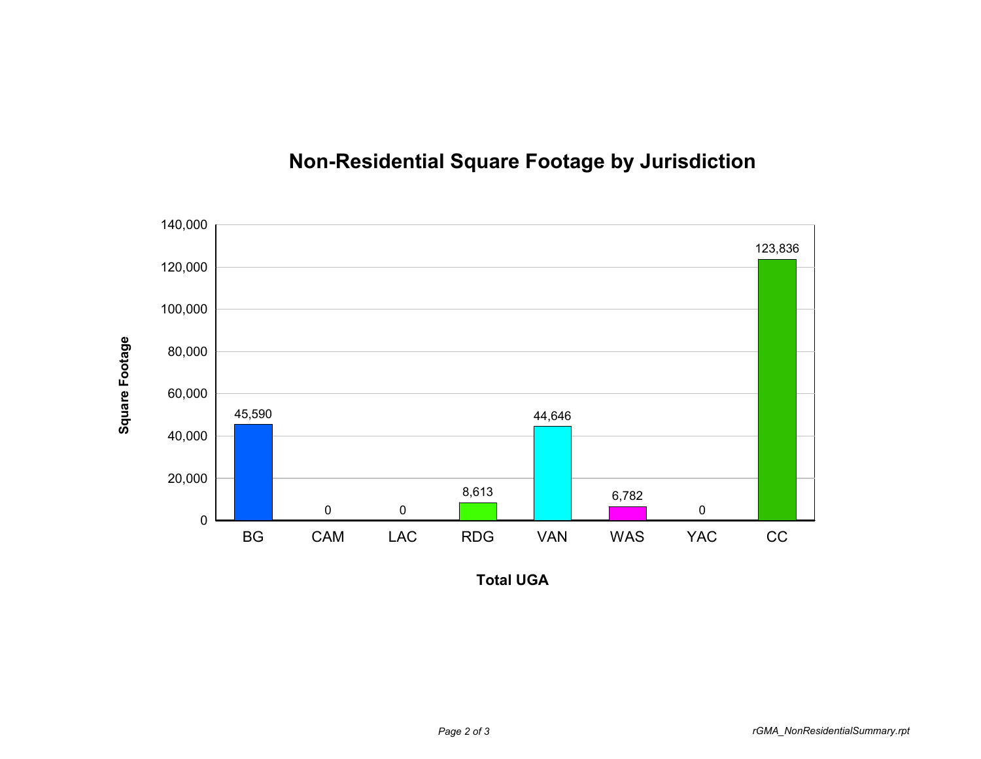

## **Non-Residential Square Footage by Jurisdiction**

**Total UGA**